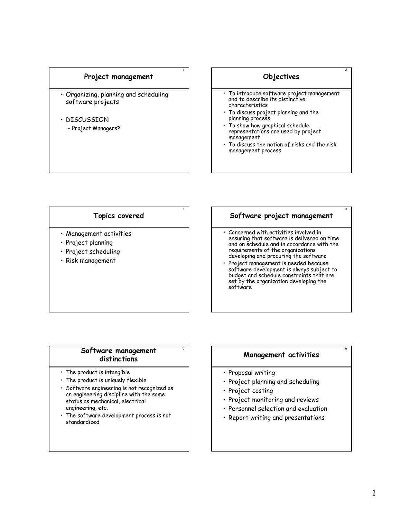#### Project management

1

3

- Organizing, planning and scheduling software projects
- DISCUSSION – Project Managers?

# Objectives

2

4

6

- To introduce software project management and to describe its distinctive characteristics
- To discuss project planning and the planning process
- To show how graphical schedule representations are used by project management
- To discuss the notion of risks and the risk management process

## Topics covered

- Management activities
- Project planning
- Project scheduling
- Risk management

# Software project management

- Concerned with activities involved in ensuring that software is delivered on time and on schedule and in accordance with the requirements of the organizations developing and procuring the software
- Project management is needed because software development is always subject to budget and schedule constraints that are set by the organization developing the software

# <sup>5</sup> Software management distinctions

- The product is intangible
- The product is uniquely flexible
- Software engineering is not recognized as an engineering discipline with the same status as mechanical, electrical engineering, etc.
- The software development process is not standardized

# Management activities

- Proposal writing
- Project planning and scheduling
- Project costing
- Project monitoring and reviews
- Personnel selection and evaluation
- Report writing and presentations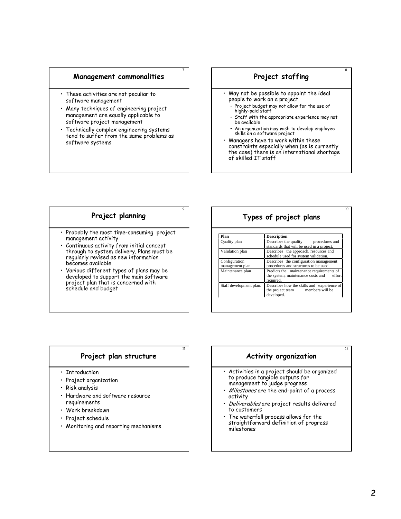#### Management commonalities

7

9

11

- These activities are not peculiar to software management
- Many techniques of engineering project management are equally applicable to software project management
- Technically complex engineering systems tend to suffer from the same problems as software systems

# Project staffing

8

10

12

- May not be possible to appoint the ideal people to work on a project
	- Project budget may not allow for the use of highly-paid staff
		- Staff with the appropriate experience may not be available
	- An organization may wish to develop employee skills on a software project
- Managers have to work within these constraints especially when (as is currently the case) there is an international shortage of skilled IT staff

# Project planning

- Probably the most time-consuming project management activity
- Continuous activity from initial concept through to system delivery. Plans must be regularly revised as new information becomes available
- Various different types of plans may be developed to support the main software project plan that is concerned with schedule and budget

# Types of project plans

| Plan                             | <b>Description</b>                                                                                   |  |
|----------------------------------|------------------------------------------------------------------------------------------------------|--|
| Quality plan                     | Describes the quality procedures and<br>standards that will be used in a project.                    |  |
| Validation plan                  | Describes the approach, resources and<br>schedule used for system validation.                        |  |
| Configuration<br>management plan | Describes the configuration management<br>procedures and structures to be used.                      |  |
| Maintenance plan                 | Predicts the maintenance requirements of<br>the system, maintenance costs and<br>effort<br>required. |  |
| Staff development plan.          | Describes how the skills and experience of<br>members will be<br>the project team<br>developed.      |  |

# Project plan structure

- Introduction
- Project organization
- Risk analysis
- Hardware and software resource requirements
- Work breakdown
- Project schedule
- Monitoring and reporting mechanisms

# Activity organization

- Activities in a project should be organized to produce tangible outputs for management to judge progress
- Milestones are the end-point of a process activity
- · Deliverables are project results delivered to customers
- The waterfall process allows for the straightforward definition of progress milestones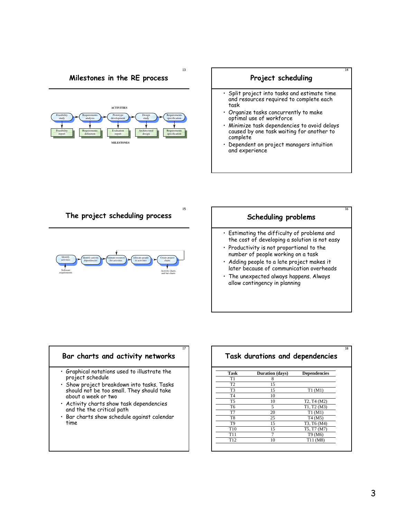# Milestones in the RE process

13

15

17





The project scheduling process



# Scheduling problems

16

18

- Estimating the difficulty of problems and the cost of developing a solution is not easy
- Productivity is not proportional to the number of people working on a task
- Adding people to a late project makes it later because of communication overheads
- The unexpected always happens. Always allow contingency in planning

# Bar charts and activity networks

- Graphical notations used to illustrate the project schedule
- Show project breakdown into tasks. Tasks should not be too small. They should take about a week or two
- Activity charts show task dependencies and the the critical path
- Bar charts show schedule against calendar time

# Task durations and dependencies

| Task            | Duration (days) | <b>Dependencies</b>                               |
|-----------------|-----------------|---------------------------------------------------|
| T1              | 8               |                                                   |
| T <sub>2</sub>  | 15              |                                                   |
| T <sub>3</sub>  | 15              | T1(M1)                                            |
| T <sub>4</sub>  | 10              |                                                   |
| T <sub>5</sub>  | 10              | T <sub>2</sub> , T <sub>4</sub> (M <sub>2</sub> ) |
| T <sub>6</sub>  | 5               | T1, T2(M3)                                        |
| T7              | 20              | T1(M1)                                            |
| T <sub>8</sub>  | 25              | T <sub>4</sub> (M <sub>5</sub> )                  |
| T <sub>9</sub>  | 15              | T3, T6 (M4)                                       |
| T <sub>10</sub> | 15              | T5, T7 (M7)                                       |
| T <sub>11</sub> |                 | T9 (M6)                                           |
| T <sub>12</sub> | 10              | T <sub>11</sub> (M <sub>8</sub> )                 |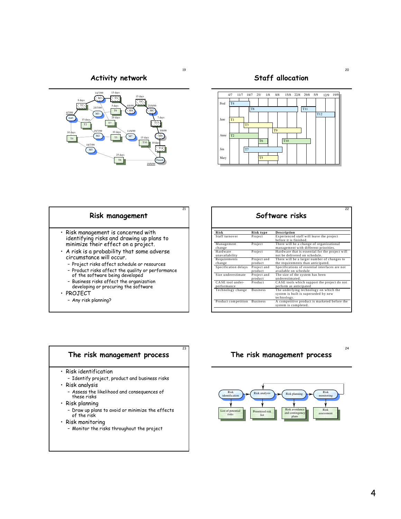19

21

Activity network



Staff allocation



# Risk management

- Risk management is concerned with identifying risks and drawing up plans to minimize their effect on a project.
- A risk is a probability that some adverse circumstance will occur.
	- Project risks affect schedule or resources – Product risks affect the quality or performance
	- of the software being developed
	- Business risks affect the organization developing or procuring the software
- PROJECT
	- Any risk planning?

#### 22 Software risks **Risk Risk type Description**  Staff turnover Project Experienced staff will leave the project before it is finished.<br> **Project** There will be a change of organizational M anagement change Hardware management with different priorities.<br>
Project Hardware that is essential for the project will<br>
Project and There will be a larger number of changes to<br>
product the requirements than anticipated. unavailability<br>Requirements change Project and product Specification delays Project and<br>product<br>Project and Specifications of essential interfaces are not available on schedule Size underestimate product The size of the system has been underestim ated. CA SE tool underperformance<br>Technology change Product CA SE tools which support the project do not perform as anticipated<br>Technology change Business The underlying technology on which the<br>system is built is superseded by new technology.<br>
Product competition Business A competitive product is marketed before the system is completed.



# The risk management process



20

24